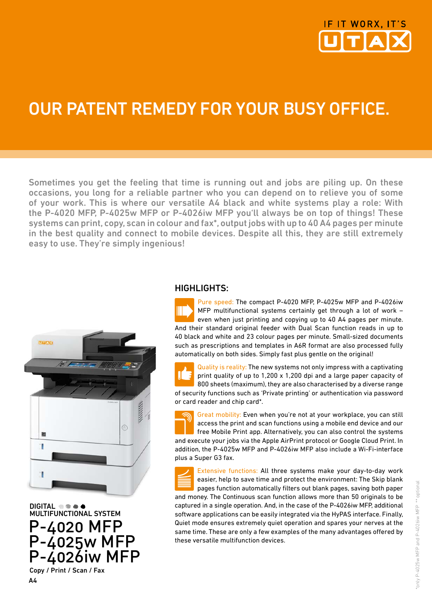

# Our patent remedy for your busy office.

Sometimes you get the feeling that time is running out and jobs are piling up. On these occasions, you long for a reliable partner who you can depend on to relieve you of some of your work. This is where our versatile A4 black and white systems play a role: With the P-4020 MFP, P-4025w MFP or P-4026iw MFP you'll always be on top of things! These systems can print, copy, scan in colour and fax\*, output jobs with up to 40 A4 pages per minute in the best quality and connect to mobile devices. Despite all this, they are still extremely easy to use. They're simply ingenious!



DIGITAL  $\bullet \bullet \bullet$ <br>MULTIFUNCTIONAL SYSTEM P-4020 MFP P-4025w MFP P-4026iw MFP Copy / Print / Scan / Fax

A4

#### HIGHLIGHTS:

Pure speed: The compact P-4020 MFP, P-4025w MFP and P-4026iw Ш MFP multifunctional systems certainly get through a lot of work – even when just printing and copying up to 40 A4 pages per minute. And their standard original feeder with Dual Scan function reads in up to 40 black and white and 23 colour pages per minute. Small-sized documents such as prescriptions and templates in A6R format are also processed fully automatically on both sides. Simply fast plus gentle on the original!

Quality is reality: The new systems not only impress with a captivating  $\mathbf{I}$ print quality of up to 1,200 x 1,200 dpi and a large paper capacity of 800 sheets (maximum), they are also characterised by a diverse range of security functions such as 'Private printing' or authentication via password or card reader and chip card\*.

Great mobility: Even when you're not at your workplace, you can still access the print and scan functions using a mobile end device and our free Mobile Print app. Alternatively, you can also control the systems and execute your jobs via the Apple AirPrint protocol or Google Cloud Print. In addition, the P-4025w MFP and P-4026iw MFP also include a Wi-Fi-interface plus a Super G3 fax.

Extensive functions: All three systems make your day-to-day work easier, help to save time and protect the environment: The Skip blank pages function automatically filters out blank pages, saving both paper and money. The Continuous scan function allows more than 50 originals to be captured in a single operation. And, in the case of the P-4026iw MFP, additional software applications can be easily integrated via the HyPAS interface. Finally, Quiet mode ensures extremely quiet operation and spares your nerves at the same time. These are only a few examples of the many advantages offered by these versatile multifunction devices.